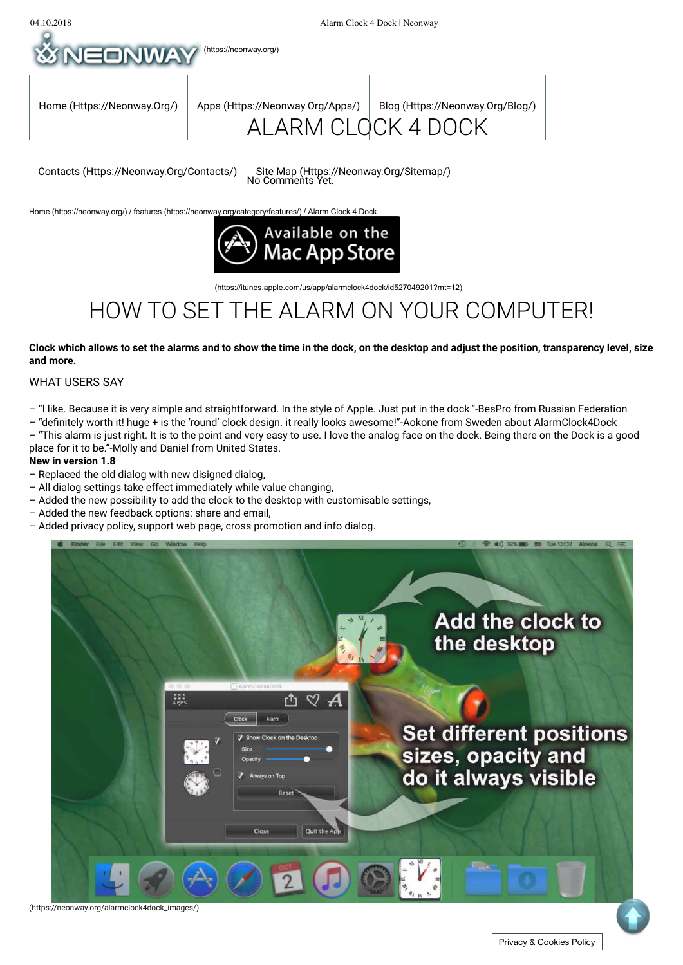

(https://itunes.apple.com/us/app/alarmclock4dock/id527049201?mt=12)

# HOW TO SET THE ALARM ON YOUR COMPUTER!

### **Clock which allows to set the alarms and to show the time in the dock, on the desktop and adjust the position, transparency level, size and more.**

### WHAT USERS SAY

- "I like. Because it is very simple and straightforward. In the style of Apple. Just put in the dock."-BesPro from Russian Federation
- "definitely worth it! huge + is the 'round' clock design. it really looks awesome!"-Aokone from Sweden about AlarmClock4Dock

– "This alarm is just right. It is to the point and very easy to use. I love the analog face on the dock. Being there on the Dock is a good place for it to be."-Molly and Daniel from United States.

#### **New in version 1.8**

- Replaced the old dialog with new disigned dialog,
- All dialog settings take effect immediately while value changing,
- Added the new possibility to add the clock to the desktop with customisable settings,
- Added the new feedback options: share and email,
- Added privacy policy, support web page, cross promotion and info dialog.



(https://neonway.org/alarmclock4dock\_images/)